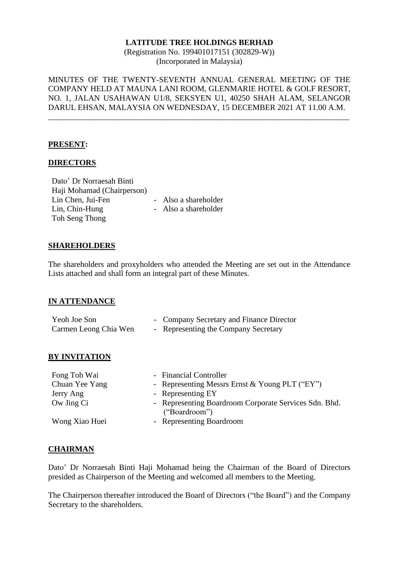(Registration No. 199401017151 (302829-W)) (Incorporated in Malaysia)

MINUTES OF THE TWENTY-SEVENTH ANNUAL GENERAL MEETING OF THE COMPANY HELD AT MAUNA LANI ROOM, GLENMARIE HOTEL & GOLF RESORT, NO. 1, JALAN USAHAWAN U1/8, SEKSYEN U1, 40250 SHAH ALAM, SELANGOR DARUL EHSAN, MALAYSIA ON WEDNESDAY, 15 DECEMBER 2021 AT 11.00 A.M.

\_\_\_\_\_\_\_\_\_\_\_\_\_\_\_\_\_\_\_\_\_\_\_\_\_\_\_\_\_\_\_\_\_\_\_\_\_\_\_\_\_\_\_\_\_\_\_\_\_\_\_\_\_\_\_\_\_\_\_\_\_\_\_\_\_\_\_\_\_\_\_\_\_\_\_

#### **PRESENT:**

#### **DIRECTORS**

Dato' Dr Norraesah Binti Haji Mohamad (Chairperson) Lin Chen, Jui-Fen - Also a shareholder Lin, Chin-Hung Toh Seng Thong

- Also a shareholder

#### **SHAREHOLDERS**

The shareholders and proxyholders who attended the Meeting are set out in the Attendance Lists attached and shall form an integral part of these Minutes.

### **IN ATTENDANCE**

| Yeoh Joe Son          | - Company Secretary and Finance Director |
|-----------------------|------------------------------------------|
| Carmen Leong Chia Wen | - Representing the Company Secretary     |

#### **BY INVITATION**

| Fong Toh Wai   | - Financial Controller                                                 |
|----------------|------------------------------------------------------------------------|
| Chuan Yee Yang | - Representing Messrs Ernst & Young PLT ("EY")                         |
| Jerry Ang      | - Representing EY                                                      |
| Ow Jing Ci     | - Representing Boardroom Corporate Services Sdn. Bhd.<br>("Boardroom") |
| Wong Xiao Huei | - Representing Boardroom                                               |

#### **CHAIRMAN**

Dato' Dr Norraesah Binti Haji Mohamad being the Chairman of the Board of Directors presided as Chairperson of the Meeting and welcomed all members to the Meeting.

The Chairperson thereafter introduced the Board of Directors ("the Board") and the Company Secretary to the shareholders.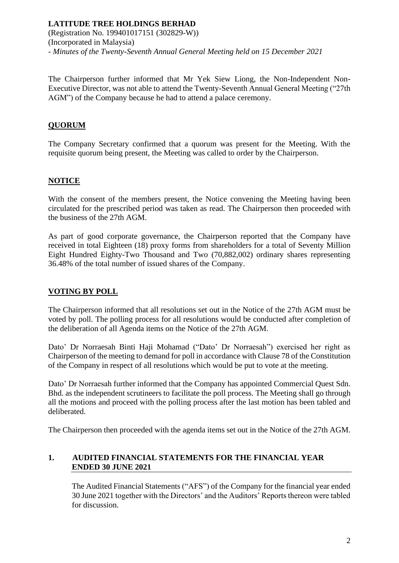(Registration No. 199401017151 (302829-W)) (Incorporated in Malaysia) *- Minutes of the Twenty-Seventh Annual General Meeting held on 15 December 2021*

The Chairperson further informed that Mr Yek Siew Liong, the Non-Independent Non-Executive Director, was not able to attend the Twenty-Seventh Annual General Meeting ("27th AGM") of the Company because he had to attend a palace ceremony.

# **QUORUM**

The Company Secretary confirmed that a quorum was present for the Meeting. With the requisite quorum being present, the Meeting was called to order by the Chairperson.

### **NOTICE**

With the consent of the members present, the Notice convening the Meeting having been circulated for the prescribed period was taken as read. The Chairperson then proceeded with the business of the 27th AGM.

As part of good corporate governance, the Chairperson reported that the Company have received in total Eighteen (18) proxy forms from shareholders for a total of Seventy Million Eight Hundred Eighty-Two Thousand and Two (70,882,002) ordinary shares representing 36.48% of the total number of issued shares of the Company.

### **VOTING BY POLL**

The Chairperson informed that all resolutions set out in the Notice of the 27th AGM must be voted by poll. The polling process for all resolutions would be conducted after completion of the deliberation of all Agenda items on the Notice of the 27th AGM.

Dato' Dr Norraesah Binti Haji Mohamad ("Dato' Dr Norraesah") exercised her right as Chairperson of the meeting to demand for poll in accordance with Clause 78 of the Constitution of the Company in respect of all resolutions which would be put to vote at the meeting.

Dato' Dr Norraesah further informed that the Company has appointed Commercial Quest Sdn. Bhd. as the independent scrutineers to facilitate the poll process. The Meeting shall go through all the motions and proceed with the polling process after the last motion has been tabled and deliberated.

The Chairperson then proceeded with the agenda items set out in the Notice of the 27th AGM.

# **1. AUDITED FINANCIAL STATEMENTS FOR THE FINANCIAL YEAR ENDED 30 JUNE 2021**

The Audited Financial Statements ("AFS") of the Company for the financial year ended 30 June 2021 together with the Directors' and the Auditors' Reports thereon were tabled for discussion.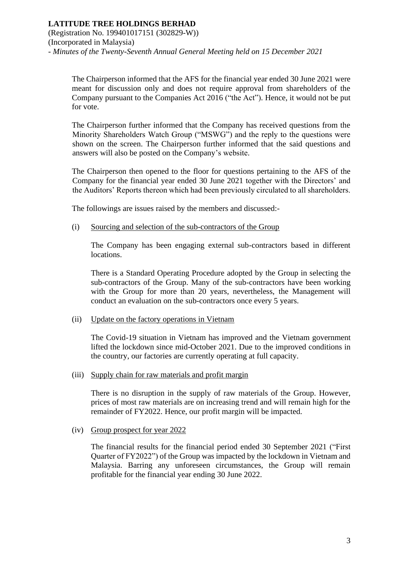The Chairperson informed that the AFS for the financial year ended 30 June 2021 were meant for discussion only and does not require approval from shareholders of the Company pursuant to the Companies Act 2016 ("the Act"). Hence, it would not be put for vote.

The Chairperson further informed that the Company has received questions from the Minority Shareholders Watch Group ("MSWG") and the reply to the questions were shown on the screen. The Chairperson further informed that the said questions and answers will also be posted on the Company's website.

The Chairperson then opened to the floor for questions pertaining to the AFS of the Company for the financial year ended 30 June 2021 together with the Directors' and the Auditors' Reports thereon which had been previously circulated to all shareholders.

The followings are issues raised by the members and discussed:-

(i) Sourcing and selection of the sub-contractors of the Group

The Company has been engaging external sub-contractors based in different locations.

There is a Standard Operating Procedure adopted by the Group in selecting the sub-contractors of the Group. Many of the sub-contractors have been working with the Group for more than 20 years, nevertheless, the Management will conduct an evaluation on the sub-contractors once every 5 years.

#### (ii) Update on the factory operations in Vietnam

The Covid-19 situation in Vietnam has improved and the Vietnam government lifted the lockdown since mid-October 2021. Due to the improved conditions in the country, our factories are currently operating at full capacity.

(iii) Supply chain for raw materials and profit margin

There is no disruption in the supply of raw materials of the Group. However, prices of most raw materials are on increasing trend and will remain high for the remainder of FY2022. Hence, our profit margin will be impacted.

### (iv) Group prospect for year 2022

The financial results for the financial period ended 30 September 2021 ("First Quarter of FY2022") of the Group was impacted by the lockdown in Vietnam and Malaysia. Barring any unforeseen circumstances, the Group will remain profitable for the financial year ending 30 June 2022.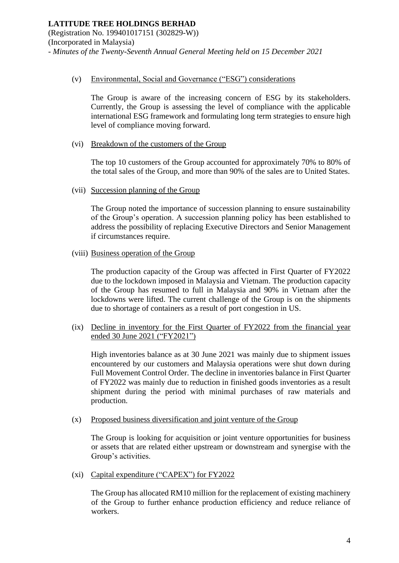#### (v) Environmental, Social and Governance ("ESG") considerations

The Group is aware of the increasing concern of ESG by its stakeholders. Currently, the Group is assessing the level of compliance with the applicable international ESG framework and formulating long term strategies to ensure high level of compliance moving forward.

### (vi) Breakdown of the customers of the Group

The top 10 customers of the Group accounted for approximately 70% to 80% of the total sales of the Group, and more than 90% of the sales are to United States.

### (vii) Succession planning of the Group

The Group noted the importance of succession planning to ensure sustainability of the Group's operation. A succession planning policy has been established to address the possibility of replacing Executive Directors and Senior Management if circumstances require.

### (viii) Business operation of the Group

The production capacity of the Group was affected in First Quarter of FY2022 due to the lockdown imposed in Malaysia and Vietnam. The production capacity of the Group has resumed to full in Malaysia and 90% in Vietnam after the lockdowns were lifted. The current challenge of the Group is on the shipments due to shortage of containers as a result of port congestion in US.

(ix) Decline in inventory for the First Quarter of FY2022 from the financial year ended 30 June 2021 ("FY2021")

High inventories balance as at 30 June 2021 was mainly due to shipment issues encountered by our customers and Malaysia operations were shut down during Full Movement Control Order. The decline in inventories balance in First Quarter of FY2022 was mainly due to reduction in finished goods inventories as a result shipment during the period with minimal purchases of raw materials and production.

(x) Proposed business diversification and joint venture of the Group

The Group is looking for acquisition or joint venture opportunities for business or assets that are related either upstream or downstream and synergise with the Group's activities.

(xi) Capital expenditure ("CAPEX") for FY2022

The Group has allocated RM10 million for the replacement of existing machinery of the Group to further enhance production efficiency and reduce reliance of workers.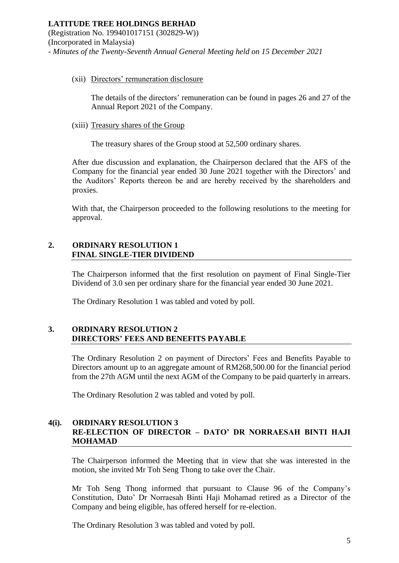#### **LATITUDE TREE HOLDINGS BERHAD**  (Registration No. 199401017151 (302829-W)) (Incorporated in Malaysia) *- Minutes of the Twenty-Seventh Annual General Meeting held on 15 December 2021*

#### (xii) Directors' remuneration disclosure

The details of the directors' remuneration can be found in pages 26 and 27 of the Annual Report 2021 of the Company.

#### (xiii) Treasury shares of the Group

The treasury shares of the Group stood at 52,500 ordinary shares.

After due discussion and explanation, the Chairperson declared that the AFS of the Company for the financial year ended 30 June 2021 together with the Directors' and the Auditors' Reports thereon be and are hereby received by the shareholders and proxies.

With that, the Chairperson proceeded to the following resolutions to the meeting for approval.

#### **2. ORDINARY RESOLUTION 1 FINAL SINGLE-TIER DIVIDEND**

The Chairperson informed that the first resolution on payment of Final Single-Tier Dividend of 3.0 sen per ordinary share for the financial year ended 30 June 2021.

The Ordinary Resolution 1 was tabled and voted by poll.

# **3. ORDINARY RESOLUTION 2 DIRECTORS' FEES AND BENEFITS PAYABLE**

The Ordinary Resolution 2 on payment of Directors' Fees and Benefits Payable to Directors amount up to an aggregate amount of RM268,500.00 for the financial period from the 27th AGM until the next AGM of the Company to be paid quarterly in arrears.

The Ordinary Resolution 2 was tabled and voted by poll.

### **4(i). ORDINARY RESOLUTION 3 RE-ELECTION OF DIRECTOR – DATO' DR NORRAESAH BINTI HAJI MOHAMAD**

The Chairperson informed the Meeting that in view that she was interested in the motion, she invited Mr Toh Seng Thong to take over the Chair.

Mr Toh Seng Thong informed that pursuant to Clause 96 of the Company's Constitution, Dato' Dr Norraesah Binti Haji Mohamad retired as a Director of the Company and being eligible, has offered herself for re-election.

The Ordinary Resolution 3 was tabled and voted by poll.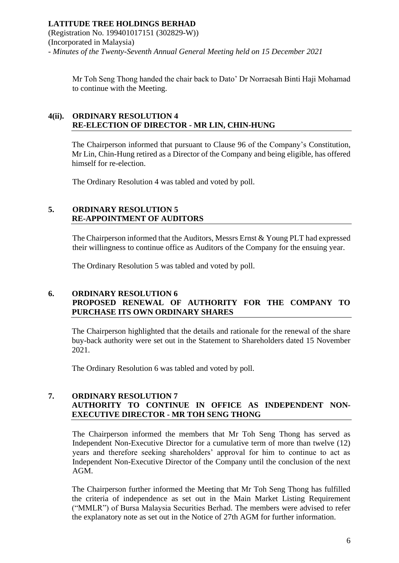### **LATITUDE TREE HOLDINGS BERHAD**  (Registration No. 199401017151 (302829-W)) (Incorporated in Malaysia) *- Minutes of the Twenty-Seventh Annual General Meeting held on 15 December 2021*

Mr Toh Seng Thong handed the chair back to Dato' Dr Norraesah Binti Haji Mohamad to continue with the Meeting.

# **4(ii). ORDINARY RESOLUTION 4 RE-ELECTION OF DIRECTOR - MR LIN, CHIN-HUNG**

The Chairperson informed that pursuant to Clause 96 of the Company's Constitution, Mr Lin, Chin-Hung retired as a Director of the Company and being eligible, has offered himself for re-election.

The Ordinary Resolution 4 was tabled and voted by poll.

### **5. ORDINARY RESOLUTION 5 RE-APPOINTMENT OF AUDITORS**

The Chairperson informed that the Auditors, Messrs Ernst & Young PLT had expressed their willingness to continue office as Auditors of the Company for the ensuing year.

The Ordinary Resolution 5 was tabled and voted by poll.

# **6. ORDINARY RESOLUTION 6 PROPOSED RENEWAL OF AUTHORITY FOR THE COMPANY TO PURCHASE ITS OWN ORDINARY SHARES**

The Chairperson highlighted that the details and rationale for the renewal of the share buy-back authority were set out in the Statement to Shareholders dated 15 November 2021.

The Ordinary Resolution 6 was tabled and voted by poll.

# **7. ORDINARY RESOLUTION 7 AUTHORITY TO CONTINUE IN OFFICE AS INDEPENDENT NON-EXECUTIVE DIRECTOR - MR TOH SENG THONG**

The Chairperson informed the members that Mr Toh Seng Thong has served as Independent Non-Executive Director for a cumulative term of more than twelve (12) years and therefore seeking shareholders' approval for him to continue to act as Independent Non-Executive Director of the Company until the conclusion of the next AGM.

The Chairperson further informed the Meeting that Mr Toh Seng Thong has fulfilled the criteria of independence as set out in the Main Market Listing Requirement ("MMLR") of Bursa Malaysia Securities Berhad. The members were advised to refer the explanatory note as set out in the Notice of 27th AGM for further information.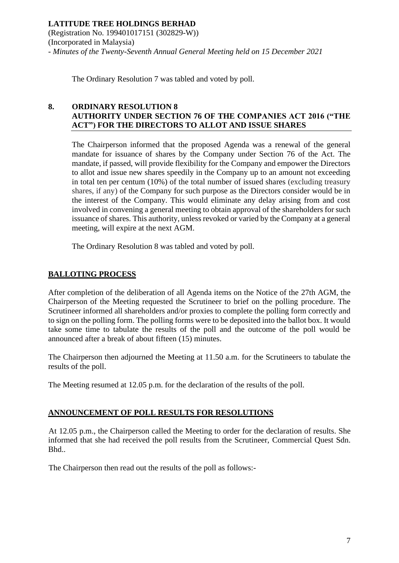The Ordinary Resolution 7 was tabled and voted by poll.

### **8. ORDINARY RESOLUTION 8 AUTHORITY UNDER SECTION 76 OF THE COMPANIES ACT 2016 ("THE ACT") FOR THE DIRECTORS TO ALLOT AND ISSUE SHARES**

The Chairperson informed that the proposed Agenda was a renewal of the general mandate for issuance of shares by the Company under Section 76 of the Act. The mandate, if passed, will provide flexibility for the Company and empower the Directors to allot and issue new shares speedily in the Company up to an amount not exceeding in total ten per centum (10%) of the total number of issued shares (excluding treasury shares, if any) of the Company for such purpose as the Directors consider would be in the interest of the Company. This would eliminate any delay arising from and cost involved in convening a general meeting to obtain approval of the shareholders for such issuance of shares. This authority, unless revoked or varied by the Company at a general meeting, will expire at the next AGM.

The Ordinary Resolution 8 was tabled and voted by poll.

### **BALLOTING PROCESS**

After completion of the deliberation of all Agenda items on the Notice of the 27th AGM, the Chairperson of the Meeting requested the Scrutineer to brief on the polling procedure. The Scrutineer informed all shareholders and/or proxies to complete the polling form correctly and to sign on the polling form. The polling forms were to be deposited into the ballot box. It would take some time to tabulate the results of the poll and the outcome of the poll would be announced after a break of about fifteen (15) minutes.

The Chairperson then adjourned the Meeting at 11.50 a.m. for the Scrutineers to tabulate the results of the poll.

The Meeting resumed at 12.05 p.m. for the declaration of the results of the poll.

### **ANNOUNCEMENT OF POLL RESULTS FOR RESOLUTIONS**

At 12.05 p.m., the Chairperson called the Meeting to order for the declaration of results. She informed that she had received the poll results from the Scrutineer, Commercial Quest Sdn. Bhd..

The Chairperson then read out the results of the poll as follows:-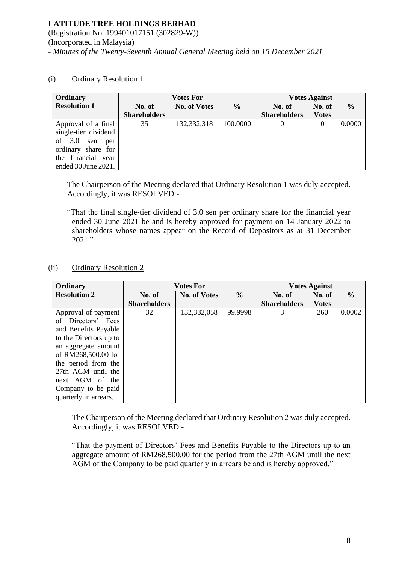(Registration No. 199401017151 (302829-W)) (Incorporated in Malaysia) *- Minutes of the Twenty-Seventh Annual General Meeting held on 15 December 2021*

### (i) Ordinary Resolution 1

| Ordinary               | <b>Votes For</b>    |                     |               | <b>Votes Against</b> |              |               |
|------------------------|---------------------|---------------------|---------------|----------------------|--------------|---------------|
| <b>Resolution 1</b>    | No. of              | <b>No. of Votes</b> | $\frac{0}{0}$ | No. of               | No. of       | $\frac{6}{6}$ |
|                        | <b>Shareholders</b> |                     |               | <b>Shareholders</b>  | <b>Votes</b> |               |
| Approval of a final    | 35                  | 132,332,318         | 100.0000      |                      | 0            | 0.0000        |
| single-tier dividend   |                     |                     |               |                      |              |               |
| of $3.0$<br>sen<br>per |                     |                     |               |                      |              |               |
| ordinary share for     |                     |                     |               |                      |              |               |
| the financial year     |                     |                     |               |                      |              |               |
| ended 30 June 2021.    |                     |                     |               |                      |              |               |

The Chairperson of the Meeting declared that Ordinary Resolution 1 was duly accepted. Accordingly, it was RESOLVED:-

"That the final single-tier dividend of 3.0 sen per ordinary share for the financial year ended 30 June 2021 be and is hereby approved for payment on 14 January 2022 to shareholders whose names appear on the Record of Depositors as at 31 December 2021."

### (ii) Ordinary Resolution 2

| Ordinary               | <b>Votes For</b>    |                     |               | <b>Votes Against</b> |              |               |
|------------------------|---------------------|---------------------|---------------|----------------------|--------------|---------------|
| <b>Resolution 2</b>    | No. of              | <b>No. of Votes</b> | $\frac{0}{0}$ | No. of               | No. of       | $\frac{6}{6}$ |
|                        | <b>Shareholders</b> |                     |               | <b>Shareholders</b>  | <b>Votes</b> |               |
| Approval of payment    | 32                  | 132,332,058         | 99.9998       | 3                    | 260          | 0.0002        |
| of Directors' Fees     |                     |                     |               |                      |              |               |
| and Benefits Payable   |                     |                     |               |                      |              |               |
| to the Directors up to |                     |                     |               |                      |              |               |
| an aggregate amount    |                     |                     |               |                      |              |               |
| of RM268,500.00 for    |                     |                     |               |                      |              |               |
| the period from the    |                     |                     |               |                      |              |               |
| 27th AGM until the     |                     |                     |               |                      |              |               |
| next AGM of the        |                     |                     |               |                      |              |               |
| Company to be paid     |                     |                     |               |                      |              |               |
| quarterly in arrears.  |                     |                     |               |                      |              |               |

The Chairperson of the Meeting declared that Ordinary Resolution 2 was duly accepted. Accordingly, it was RESOLVED:-

"That the payment of Directors' Fees and Benefits Payable to the Directors up to an aggregate amount of RM268,500.00 for the period from the 27th AGM until the next AGM of the Company to be paid quarterly in arrears be and is hereby approved."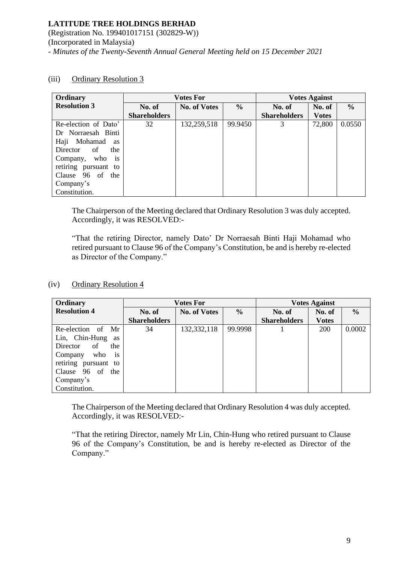(Registration No. 199401017151 (302829-W)) (Incorporated in Malaysia) *- Minutes of the Twenty-Seventh Annual General Meeting held on 15 December 2021*

| Ordinary                  | <b>Votes For</b>    |                     |               | <b>Votes Against</b> |              |               |
|---------------------------|---------------------|---------------------|---------------|----------------------|--------------|---------------|
| <b>Resolution 3</b>       | No. of              | <b>No. of Votes</b> | $\frac{6}{6}$ | No. of               | No. of       | $\frac{6}{6}$ |
|                           | <b>Shareholders</b> |                     |               | <b>Shareholders</b>  | <b>Votes</b> |               |
| Re-election of Dato'      | 32                  | 132,259,518         | 99.9450       | 3                    | 72,800       | 0.0550        |
| Dr Norraesah Binti        |                     |                     |               |                      |              |               |
| Haji Mohamad<br>as        |                     |                     |               |                      |              |               |
| of<br>Director<br>the     |                     |                     |               |                      |              |               |
| Company, who<br><i>is</i> |                     |                     |               |                      |              |               |
| retiring pursuant to      |                     |                     |               |                      |              |               |
| Clause 96 of<br>the       |                     |                     |               |                      |              |               |
| Company's                 |                     |                     |               |                      |              |               |
| Constitution.             |                     |                     |               |                      |              |               |

### (iii) Ordinary Resolution 3

The Chairperson of the Meeting declared that Ordinary Resolution 3 was duly accepted. Accordingly, it was RESOLVED:-

"That the retiring Director, namely Dato' Dr Norraesah Binti Haji Mohamad who retired pursuant to Clause 96 of the Company's Constitution, be and is hereby re-elected as Director of the Company."

#### (iv) Ordinary Resolution 4

| Ordinary                    |                     | <b>Votes For</b>    |               |                     | <b>Votes Against</b> |               |  |
|-----------------------------|---------------------|---------------------|---------------|---------------------|----------------------|---------------|--|
| <b>Resolution 4</b>         | No. of              | <b>No. of Votes</b> | $\frac{6}{6}$ | No. of              | No. of               | $\frac{6}{6}$ |  |
|                             | <b>Shareholders</b> |                     |               | <b>Shareholders</b> | <b>Votes</b>         |               |  |
| Re-election of<br>Mr        | 34                  | 132,332,118         | 99.9998       |                     | <b>200</b>           | 0.0002        |  |
| Lin, Chin-Hung<br>as        |                     |                     |               |                     |                      |               |  |
| of<br>the<br>Director       |                     |                     |               |                     |                      |               |  |
| who<br>Company<br><b>1S</b> |                     |                     |               |                     |                      |               |  |
| retiring pursuant to        |                     |                     |               |                     |                      |               |  |
| Clause 96 of<br>the         |                     |                     |               |                     |                      |               |  |
| Company's                   |                     |                     |               |                     |                      |               |  |
| Constitution.               |                     |                     |               |                     |                      |               |  |

The Chairperson of the Meeting declared that Ordinary Resolution 4 was duly accepted. Accordingly, it was RESOLVED:-

"That the retiring Director, namely Mr Lin, Chin-Hung who retired pursuant to Clause 96 of the Company's Constitution, be and is hereby re-elected as Director of the Company."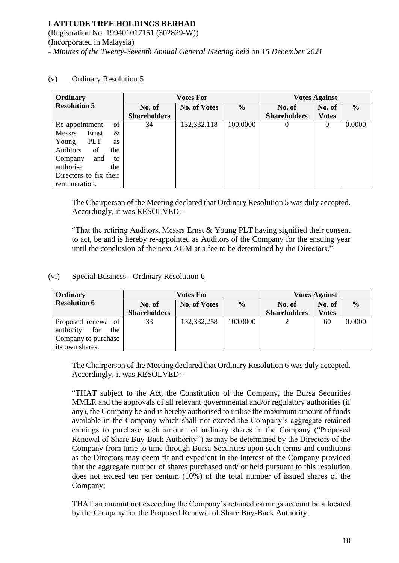(Registration No. 199401017151 (302829-W)) (Incorporated in Malaysia) *- Minutes of the Twenty-Seventh Annual General Meeting held on 15 December 2021*

| Ordinary                    | <b>Votes For</b>    |                     |               | <b>Votes Against</b> |              |               |
|-----------------------------|---------------------|---------------------|---------------|----------------------|--------------|---------------|
| <b>Resolution 5</b>         | No. of              | <b>No. of Votes</b> | $\frac{0}{0}$ | No. of               | No. of       | $\frac{6}{6}$ |
|                             | <b>Shareholders</b> |                     |               | <b>Shareholders</b>  | <b>Votes</b> |               |
| of<br>Re-appointment        | 34                  | 132,332,118         | 100.0000      | $\theta$             | 0            | 0.0000        |
| <b>Messrs</b><br>Ernst<br>& |                     |                     |               |                      |              |               |
| <b>PLT</b><br>Young<br>as   |                     |                     |               |                      |              |               |
| Auditors<br>of<br>the       |                     |                     |               |                      |              |               |
| and<br>Company<br>to        |                     |                     |               |                      |              |               |
| authorise<br>the            |                     |                     |               |                      |              |               |
| Directors to fix their      |                     |                     |               |                      |              |               |
| remuneration.               |                     |                     |               |                      |              |               |

### (v) Ordinary Resolution 5

The Chairperson of the Meeting declared that Ordinary Resolution 5 was duly accepted. Accordingly, it was RESOLVED:-

"That the retiring Auditors, Messrs Ernst & Young PLT having signified their consent to act, be and is hereby re-appointed as Auditors of the Company for the ensuing year until the conclusion of the next AGM at a fee to be determined by the Directors."

#### (vi) Special Business - Ordinary Resolution 6

| Ordinary                | <b>Votes For</b>    |                     |               | <b>Votes Against</b> |              |        |
|-------------------------|---------------------|---------------------|---------------|----------------------|--------------|--------|
| <b>Resolution 6</b>     | No. of              | <b>No. of Votes</b> | $\frac{0}{0}$ | No. of               | No. of       | $\%$   |
|                         | <b>Shareholders</b> |                     |               | <b>Shareholders</b>  | <b>Votes</b> |        |
| Proposed renewal of     | 33                  | 132,332,258         | 100.0000      |                      | 60           | 0.0000 |
| authority<br>for<br>the |                     |                     |               |                      |              |        |
| Company to purchase     |                     |                     |               |                      |              |        |
| its own shares.         |                     |                     |               |                      |              |        |

The Chairperson of the Meeting declared that Ordinary Resolution 6 was duly accepted. Accordingly, it was RESOLVED:-

"THAT subject to the Act, the Constitution of the Company, the Bursa Securities MMLR and the approvals of all relevant governmental and/or regulatory authorities (if any), the Company be and is hereby authorised to utilise the maximum amount of funds available in the Company which shall not exceed the Company's aggregate retained earnings to purchase such amount of ordinary shares in the Company ("Proposed Renewal of Share Buy-Back Authority") as may be determined by the Directors of the Company from time to time through Bursa Securities upon such terms and conditions as the Directors may deem fit and expedient in the interest of the Company provided that the aggregate number of shares purchased and/ or held pursuant to this resolution does not exceed ten per centum (10%) of the total number of issued shares of the Company;

THAT an amount not exceeding the Company's retained earnings account be allocated by the Company for the Proposed Renewal of Share Buy-Back Authority;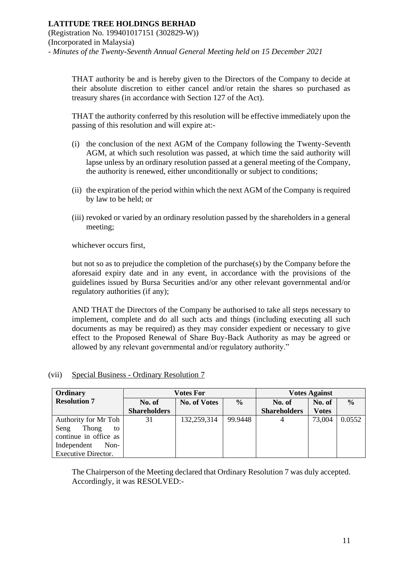(Registration No. 199401017151 (302829-W)) (Incorporated in Malaysia) *- Minutes of the Twenty-Seventh Annual General Meeting held on 15 December 2021*

THAT authority be and is hereby given to the Directors of the Company to decide at their absolute discretion to either cancel and/or retain the shares so purchased as treasury shares (in accordance with Section 127 of the Act).

THAT the authority conferred by this resolution will be effective immediately upon the passing of this resolution and will expire at:-

- (i) the conclusion of the next AGM of the Company following the Twenty-Seventh AGM, at which such resolution was passed, at which time the said authority will lapse unless by an ordinary resolution passed at a general meeting of the Company, the authority is renewed, either unconditionally or subject to conditions;
- (ii) the expiration of the period within which the next AGM of the Company is required by law to be held; or
- (iii) revoked or varied by an ordinary resolution passed by the shareholders in a general meeting;

whichever occurs first,

but not so as to prejudice the completion of the purchase(s) by the Company before the aforesaid expiry date and in any event, in accordance with the provisions of the guidelines issued by Bursa Securities and/or any other relevant governmental and/or regulatory authorities (if any);

AND THAT the Directors of the Company be authorised to take all steps necessary to implement, complete and do all such acts and things (including executing all such documents as may be required) as they may consider expedient or necessary to give effect to the Proposed Renewal of Share Buy-Back Authority as may be agreed or allowed by any relevant governmental and/or regulatory authority."

### (vii) Special Business - Ordinary Resolution 7

| Ordinary              |                     | <b>Votes For</b>    |               |                     | <b>Votes Against</b> |               |  |
|-----------------------|---------------------|---------------------|---------------|---------------------|----------------------|---------------|--|
| <b>Resolution 7</b>   | No. of              | <b>No. of Votes</b> | $\frac{6}{6}$ | No. of              | No. of               | $\frac{6}{6}$ |  |
|                       | <b>Shareholders</b> |                     |               | <b>Shareholders</b> | <b>Votes</b>         |               |  |
| Authority for Mr Toh  | 31                  | 132,259,314         | 99.9448       | 4                   | 73,004               | 0.0552        |  |
| Thong<br>Seng<br>to   |                     |                     |               |                     |                      |               |  |
| continue in office as |                     |                     |               |                     |                      |               |  |
| Independent<br>Non-   |                     |                     |               |                     |                      |               |  |
| Executive Director.   |                     |                     |               |                     |                      |               |  |

The Chairperson of the Meeting declared that Ordinary Resolution 7 was duly accepted. Accordingly, it was RESOLVED:-